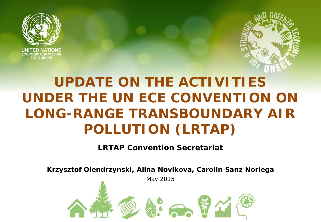



# **UPDATE ON THE ACTIVITIES UNDER THE UN ECE CONVENTION ON LONG-RANGE TRANSBOUNDARY AIR POLLUTION (LRTAP)**

#### **LRTAP Convention Secretariat**

**Krzysztof Olendrzynski, Alina Novikova, Carolin Sanz Noriega**

May 2015

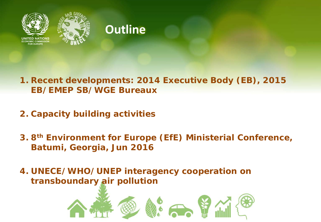



### **Outline**

#### **1. Recent developments: 2014 Executive Body (EB), 2015 EB/EMEP SB/WGE Bureaux**

- **2. Capacity building activities**
- **3. 8th Environment for Europe (EfE) Ministerial Conference, Batumi, Georgia, Jun 2016**

**4. UNECE/WHO/UNEP interagency cooperation on transboundary air pollution**

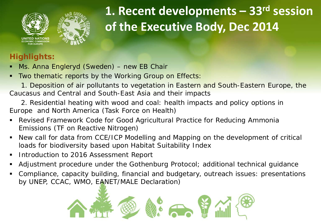



## **1. Recent developments – 33rd session of the Executive Body, Dec 2014**

#### **Highlights:**

- **Ms. Anna Engleryd (Sweden) new EB Chair**
- **Two thematic reports by the Working Group on Effects:**

 1. Deposition of air pollutants to vegetation in Eastern and South-Eastern Europe, the Caucasus and Central and South-East Asia and their impacts

- 2. Residential heating with wood and coal: health impacts and policy options in Europe and North America (Task Force on Health)
- Revised Framework Code for Good Agricultural Practice for Reducing Ammonia Emissions (TF on Reactive Nitrogen)
- New call for data from CCE/ICP Modelling and Mapping on the development of critical loads for biodiversity based upon Habitat Suitability Index
- **Introduction to 2016 Assessment Report**
- Adjustment procedure under the Gothenburg Protocol; additional technical guidance
- Compliance, capacity building, financial and budgetary, outreach issues: presentations by UNEP, CCAC, WMO, EANET/MALE Declaration)

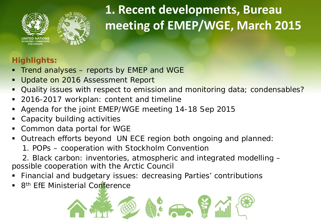



# **1. Recent developments, Bureau meeting of EMEP/WGE, March 2015**

### **Highlights:**

- Trend analyses reports by EMEP and WGE
- Update on 2016 Assessment Report
- Quality issues with respect to emission and monitoring data; *condensables?*
- 2016-2017 workplan: content and timeline
- Agenda for the joint EMEP/WGE meeting 14-18 Sep 2015
- Capacity building activities
- Common data portal for WGE
- Outreach efforts beyond UN ECE region both ongoing and planned:

1. POPs – cooperation with Stockholm Convention

 2. Black carbon: inventories, atmospheric and integrated modelling – possible cooperation with the Arctic Council

- Financial and budgetary issues: decreasing Parties' contributions
- 8<sup>th</sup> EfE Ministerial Conference

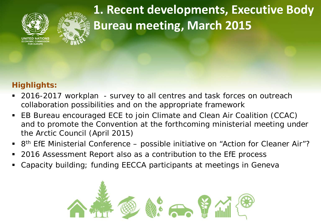



**1. Recent developments, Executive Body Bureau meeting, March 2015**

#### **Highlights:**

- 2016-2017 workplan survey to all centres and task forces on outreach collaboration possibilities and on the appropriate framework
- EB Bureau encouraged ECE to join Climate and Clean Air Coalition (CCAC) and to promote the Convention at the forthcoming ministerial meeting under the Arctic Council (April 2015)
- 8<sup>th</sup> EfE Ministerial Conference possible initiative on "Action for Cleaner Air"?
- 2016 Assessment Report also as a contribution to the EfE process
- Capacity building; funding EECCA participants at meetings in Geneva

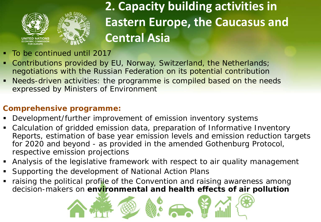

## **2. Capacity building activities in Eastern Europe, the Caucasus and Central Asia**

- **To be continued until 2017**
- Contributions provided by EU, Norway, Switzerland, the Netherlands; negotiations with the Russian Federation on its potential contribution
- Needs-driven activities: the programme is compiled based on the needs expressed by Ministers of Environment

#### **Comprehensive programme:**

- Development/further improvement of emission inventory systems
- Calculation of gridded emission data, preparation of Informative Inventory Reports, estimation of base year emission levels and emission reduction targets for 2020 and beyond - as provided in the amended Gothenburg Protocol, respective emission projections
- Analysis of the legislative framework with respect to air quality management
- Supporting the development of National Action Plans
- raising the political profile of the Convention and raising awareness among decision-makers on **environmental and health effects of air pollution**

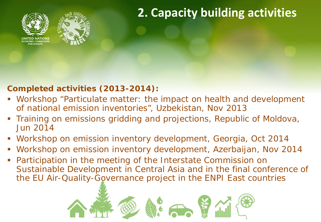

### **2. Capacity building activities**

#### **Completed activities (2013-2014):**

- Workshop "Particulate matter: the impact on health and development of national emission inventories", Uzbekistan, Nov 2013
- **Training on emissions gridding and projections, Republic of Moldova,** Jun 2014
- Workshop on emission inventory development, Georgia, Oct 2014
- Workshop on emission inventory development, Azerbaijan, Nov 2014
- Participation in the meeting of the Interstate Commission on Sustainable Development in Central Asia and in the final conference of the EU Air-Quality-Governance project in the ENPI East countries

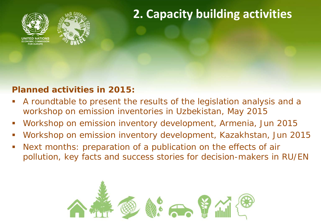



## **2. Capacity building activities**

### **Planned activities in 2015:**

- A roundtable to present the results of the legislation analysis and a workshop on emission inventories in Uzbekistan, May 2015
- Workshop on emission inventory development, Armenia, Jun 2015
- Workshop on emission inventory development, Kazakhstan, Jun 2015
- Next months: preparation of a publication on the effects of air pollution, key facts and success stories for decision-makers in RU/EN

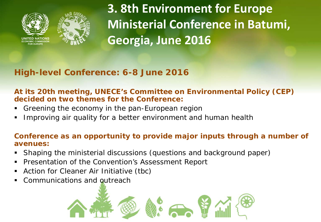



**3. 8th Environment for Europe Ministerial Conference in Batumi, Georgia, June 2016**

### **High-level Conference: 6-8 June 2016**

#### **At its 20th meeting, UNECE's Committee on Environmental Policy (CEP) decided on two themes for the Conference:**

- Greening the economy in the pan-European region
- Improving air quality for a better environment and human health

#### **Conference as an opportunity to provide major inputs through a number of avenues:**

- Shaping the ministerial discussions (questions and background paper)
- **Presentation of the Convention's Assessment Report**
- Action for Cleaner Air Initiative (tbc)
- Communications and outreach

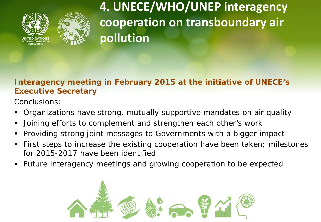



**4. UNECE/WHO/UNEP interagency cooperation on transboundary air pollution**

#### **Interagency meeting in February 2015 at the initiative of UNECE's Executive Secretary**

Conclusions:

- Organizations have strong, mutually supportive mandates on air quality
- Joining efforts to complement and strengthen each other's work
- Providing strong joint messages to Governments with a bigger impact
- **First steps to increase the existing cooperation have been taken; milestones** for 2015-2017 have been identified
- Future interagency meetings and growing cooperation to be expected